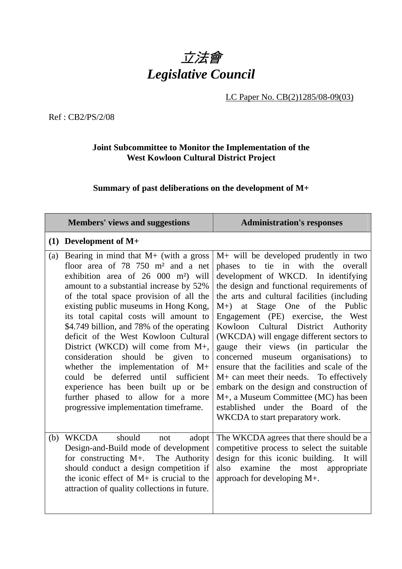

## LC Paper No. CB(2)1285/08-09(03)

Ref : CB2/PS/2/08

## **Joint Subcommittee to Monitor the Implementation of the West Kowloon Cultural District Project**

## **Summary of past deliberations on the development of M+**

|     | <b>Members' views and suggestions</b>                                                                                                                                                                                                                                                                                                                                                                                                                                                                                                                                                                                                                                                                                         | <b>Administration's responses</b>                                                                                                                                                                                                                                                                                                                                                                                                                                                                                                                                                                                                                                                                                                  |
|-----|-------------------------------------------------------------------------------------------------------------------------------------------------------------------------------------------------------------------------------------------------------------------------------------------------------------------------------------------------------------------------------------------------------------------------------------------------------------------------------------------------------------------------------------------------------------------------------------------------------------------------------------------------------------------------------------------------------------------------------|------------------------------------------------------------------------------------------------------------------------------------------------------------------------------------------------------------------------------------------------------------------------------------------------------------------------------------------------------------------------------------------------------------------------------------------------------------------------------------------------------------------------------------------------------------------------------------------------------------------------------------------------------------------------------------------------------------------------------------|
|     | $(1)$ Development of M+                                                                                                                                                                                                                                                                                                                                                                                                                                                                                                                                                                                                                                                                                                       |                                                                                                                                                                                                                                                                                                                                                                                                                                                                                                                                                                                                                                                                                                                                    |
| (a) | Bearing in mind that $M+$ (with a gross<br>floor area of $78, 750$ m <sup>2</sup> and a net<br>exhibition area of 26 000 m <sup>2</sup> ) will<br>amount to a substantial increase by 52%<br>of the total space provision of all the<br>existing public museums in Hong Kong,<br>its total capital costs will amount to<br>\$4.749 billion, and 78% of the operating<br>deficit of the West Kowloon Cultural<br>District (WKCD) will come from $M_{+}$ ,<br>consideration<br>should<br>be<br>given<br><sub>to</sub><br>whether the implementation of $M+$<br>deferred<br>could be<br>until<br>sufficient<br>experience has been built up or be<br>further phased to allow for a more<br>progressive implementation timeframe. | M+ will be developed prudently in two<br>tie in with the<br>phases to<br>overall<br>development of WKCD. In identifying<br>the design and functional requirements of<br>the arts and cultural facilities (including<br>M+) at Stage One of the Public<br>Engagement (PE) exercise,<br>the West<br>Kowloon Cultural District<br>Authority<br>(WKCDA) will engage different sectors to<br>gauge their views (in particular the<br>museum organisations)<br>concerned<br>to<br>ensure that the facilities and scale of the<br>$M+$ can meet their needs. To effectively<br>embark on the design and construction of<br>M+, a Museum Committee (MC) has been<br>established under the Board of the<br>WKCDA to start preparatory work. |
| (b) | WKCDA<br>should<br>adopt<br>not<br>Design-and-Build mode of development<br>for constructing M+. The Authority<br>should conduct a design competition if<br>the iconic effect of $M+$ is crucial to the<br>attraction of quality collections in future.                                                                                                                                                                                                                                                                                                                                                                                                                                                                        | The WKCDA agrees that there should be a<br>competitive process to select the suitable<br>design for this iconic building. It will<br>examine<br>the<br>also<br>appropriate<br>most<br>approach for developing M+.                                                                                                                                                                                                                                                                                                                                                                                                                                                                                                                  |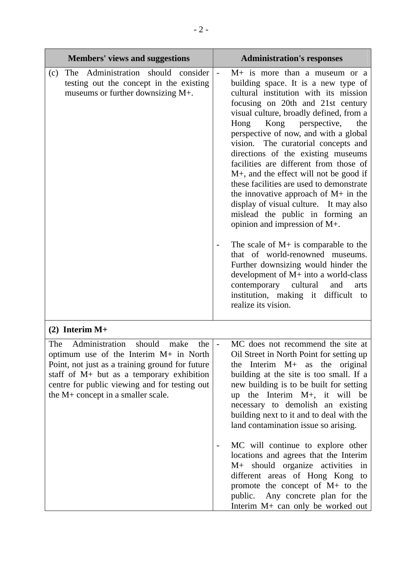| <b>Members' views and suggestions</b>                                                                                                                                                                                                                                           | <b>Administration's responses</b>                                                                                                                                                                                                                                                                                                                                                                                                                                                                                                                                                                                                                                                                                                                                                                                                                                                                                            |
|---------------------------------------------------------------------------------------------------------------------------------------------------------------------------------------------------------------------------------------------------------------------------------|------------------------------------------------------------------------------------------------------------------------------------------------------------------------------------------------------------------------------------------------------------------------------------------------------------------------------------------------------------------------------------------------------------------------------------------------------------------------------------------------------------------------------------------------------------------------------------------------------------------------------------------------------------------------------------------------------------------------------------------------------------------------------------------------------------------------------------------------------------------------------------------------------------------------------|
| The Administration should consider<br>(c)<br>testing out the concept in the existing<br>museums or further downsizing M+.                                                                                                                                                       | $M+$ is more than a museum or a<br>building space. It is a new type of<br>cultural institution with its mission<br>focusing on 20th and 21st century<br>visual culture, broadly defined, from a<br>Kong<br>perspective,<br>Hong<br>the<br>perspective of now, and with a global<br>The curatorial concepts and<br>vision.<br>directions of the existing museums<br>facilities are different from those of<br>M+, and the effect will not be good if<br>these facilities are used to demonstrate<br>the innovative approach of $M+$ in the<br>display of visual culture. It may also<br>mislead the public in forming an<br>opinion and impression of M+.<br>The scale of $M+$ is comparable to the<br>that of world-renowned museums.<br>Further downsizing would hinder the<br>development of $M+$ into a world-class<br>contemporary cultural<br>and<br>arts<br>institution, making it difficult to<br>realize its vision. |
| $(2)$ Interim M+                                                                                                                                                                                                                                                                |                                                                                                                                                                                                                                                                                                                                                                                                                                                                                                                                                                                                                                                                                                                                                                                                                                                                                                                              |
| Administration<br>should<br>make<br>the<br>The<br>optimum use of the Interim M+ in North<br>Point, not just as a training ground for future<br>staff of M+ but as a temporary exhibition<br>centre for public viewing and for testing out<br>the M+ concept in a smaller scale. | MC does not recommend the site at<br>Oil Street in North Point for setting up<br>the Interim $M+$ as the original<br>building at the site is too small. If a<br>new building is to be built for setting<br>up the Interim $M+$ , it will be<br>necessary to demolish an existing<br>building next to it and to deal with the<br>land contamination issue so arising.<br>MC will continue to explore other                                                                                                                                                                                                                                                                                                                                                                                                                                                                                                                    |
|                                                                                                                                                                                                                                                                                 | locations and agrees that the Interim<br>M+ should organize activities in<br>different areas of Hong Kong to<br>promote the concept of $M+$ to the<br>public. Any concrete plan for the<br>Interim M+ can only be worked out                                                                                                                                                                                                                                                                                                                                                                                                                                                                                                                                                                                                                                                                                                 |

Г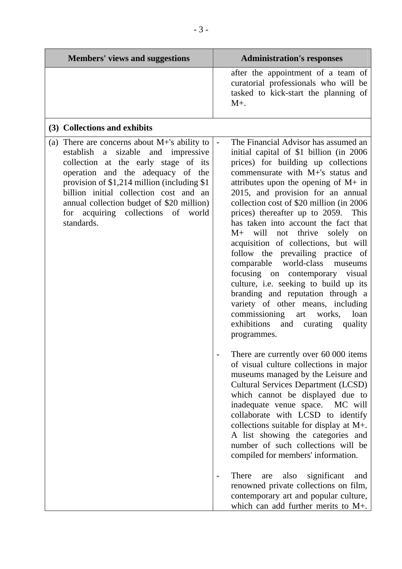| <b>Members' views and suggestions</b>                                                                                                                                                                                                                                                                                                                                                | <b>Administration's responses</b>                                                                                                                                                                                                                                                                                                                                                                                                                                                                                                                                                                                                                                                                                                                                                                                                                                                                                                                                                                                                                                                                                                                                                                                                                                                            |
|--------------------------------------------------------------------------------------------------------------------------------------------------------------------------------------------------------------------------------------------------------------------------------------------------------------------------------------------------------------------------------------|----------------------------------------------------------------------------------------------------------------------------------------------------------------------------------------------------------------------------------------------------------------------------------------------------------------------------------------------------------------------------------------------------------------------------------------------------------------------------------------------------------------------------------------------------------------------------------------------------------------------------------------------------------------------------------------------------------------------------------------------------------------------------------------------------------------------------------------------------------------------------------------------------------------------------------------------------------------------------------------------------------------------------------------------------------------------------------------------------------------------------------------------------------------------------------------------------------------------------------------------------------------------------------------------|
|                                                                                                                                                                                                                                                                                                                                                                                      | after the appointment of a team of<br>curatorial professionals who will be<br>tasked to kick-start the planning of<br>$M_{+}$                                                                                                                                                                                                                                                                                                                                                                                                                                                                                                                                                                                                                                                                                                                                                                                                                                                                                                                                                                                                                                                                                                                                                                |
| (3) Collections and exhibits                                                                                                                                                                                                                                                                                                                                                         |                                                                                                                                                                                                                                                                                                                                                                                                                                                                                                                                                                                                                                                                                                                                                                                                                                                                                                                                                                                                                                                                                                                                                                                                                                                                                              |
| There are concerns about $M+$ 's ability to<br>$\left( a\right)$<br>sizable<br>and impressive<br>establish a<br>collection at the early stage of its<br>operation and the adequacy of the<br>provision of \$1,214 million (including \$1)<br>billion initial collection cost and an<br>annual collection budget of \$20 million)<br>for acquiring collections of world<br>standards. | The Financial Advisor has assumed an<br>initial capital of \$1 billion (in 2006)<br>prices) for building up collections<br>commensurate with M+'s status and<br>attributes upon the opening of $M+$ in<br>2015, and provision for an annual<br>collection cost of \$20 million (in 2006<br>prices) thereafter up to 2059. This<br>has taken into account the fact that<br>will not thrive<br>solely<br>$M+$<br>on<br>acquisition of collections, but will<br>follow the prevailing practice of<br>comparable world-class museums<br>focusing on contemporary<br>visual<br>culture, i.e. seeking to build up its<br>branding and reputation through a<br>variety of other means, including<br>commissioning<br>works,<br>loan<br>art<br>exhibitions<br>curating<br>and<br>quality<br>programmes.<br>There are currently over 60 000 items<br>of visual culture collections in major<br>museums managed by the Leisure and<br><b>Cultural Services Department (LCSD)</b><br>which cannot be displayed due to<br>inadequate venue space. MC will<br>collaborate with LCSD to identify<br>collections suitable for display at M+.<br>A list showing the categories and<br>number of such collections will be<br>compiled for members' information.<br>There<br>significant<br>also<br>are<br>and |
|                                                                                                                                                                                                                                                                                                                                                                                      | renowned private collections on film,<br>contemporary art and popular culture,<br>which can add further merits to M+.                                                                                                                                                                                                                                                                                                                                                                                                                                                                                                                                                                                                                                                                                                                                                                                                                                                                                                                                                                                                                                                                                                                                                                        |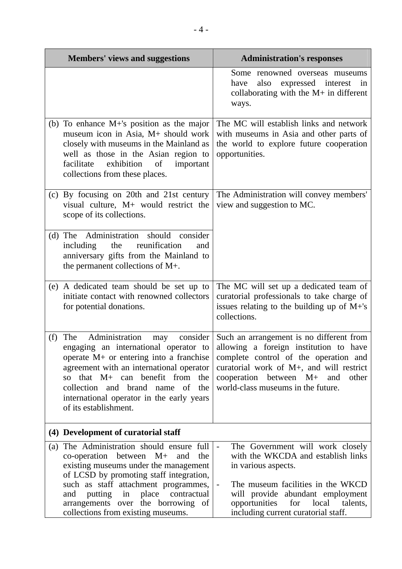| <b>Members' views and suggestions</b>                                                                                                                                                                                                                                                                                                                     | <b>Administration's responses</b>                                                                                                                                                                                                                                                              |
|-----------------------------------------------------------------------------------------------------------------------------------------------------------------------------------------------------------------------------------------------------------------------------------------------------------------------------------------------------------|------------------------------------------------------------------------------------------------------------------------------------------------------------------------------------------------------------------------------------------------------------------------------------------------|
|                                                                                                                                                                                                                                                                                                                                                           | Some renowned overseas museums<br>expressed interest<br>also<br>have<br>in<br>collaborating with the $M+$ in different<br>ways.                                                                                                                                                                |
| (b) To enhance $M+$ 's position as the major<br>museum icon in Asia, M+ should work<br>closely with museums in the Mainland as<br>well as those in the Asian region to<br>facilitate<br>exhibition<br>of<br>important<br>collections from these places.                                                                                                   | The MC will establish links and network<br>with museums in Asia and other parts of<br>the world to explore future cooperation<br>opportunities.                                                                                                                                                |
| (c) By focusing on 20th and 21st century<br>visual culture, $M+$ would restrict the<br>scope of its collections.                                                                                                                                                                                                                                          | The Administration will convey members'<br>view and suggestion to MC.                                                                                                                                                                                                                          |
| Administration should<br>consider<br>$(d)$ The<br>reunification<br>including<br>the<br>and<br>anniversary gifts from the Mainland to<br>the permanent collections of M+.                                                                                                                                                                                  |                                                                                                                                                                                                                                                                                                |
| (e) A dedicated team should be set up to<br>initiate contact with renowned collectors<br>for potential donations.                                                                                                                                                                                                                                         | The MC will set up a dedicated team of<br>curatorial professionals to take charge of<br>issues relating to the building up of $M+$ 's<br>collections.                                                                                                                                          |
| Administration<br>$\cosider$<br>(f)<br>The<br>may<br>engaging an international operator to<br>operate $M$ + or entering into a franchise<br>agreement with an international operator<br>that $M+$ can benefit from<br>the<br>SO <sub>2</sub><br>collection and brand name of<br>the<br>international operator in the early years<br>of its establishment. | Such an arrangement is no different from<br>allowing a foreign institution to have<br>complete control of the operation and<br>curatorial work of M+, and will restrict<br>cooperation between M+<br>and<br>other<br>world-class museums in the future.                                        |
| (4) Development of curatorial staff                                                                                                                                                                                                                                                                                                                       |                                                                                                                                                                                                                                                                                                |
| The Administration should ensure full<br>(a)<br>co-operation<br>between M+<br>and<br>the<br>existing museums under the management<br>of LCSD by promoting staff integration,<br>such as staff attachment programmes,<br>place<br>contractual<br>and<br>putting<br>in<br>arrangements over the borrowing of<br>collections from existing museums.          | The Government will work closely<br>$\blacksquare$<br>with the WKCDA and establish links<br>in various aspects.<br>The museum facilities in the WKCD<br>$\blacksquare$<br>will provide abundant employment<br>opportunities<br>local<br>for<br>talents,<br>including current curatorial staff. |